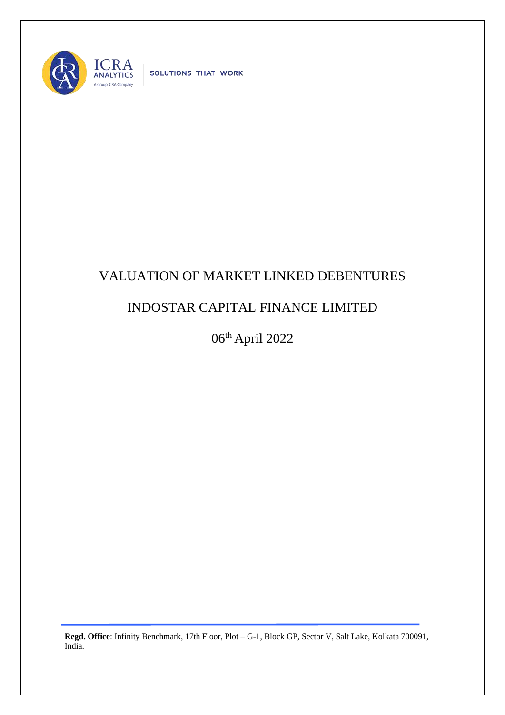

SOLUTIONS THAT WORK

## VALUATION OF MARKET LINKED DEBENTURES

## INDOSTAR CAPITAL FINANCE LIMITED

06th April 2022

**Regd. Office**: Infinity Benchmark, 17th Floor, Plot – G-1, Block GP, Sector V, Salt Lake, Kolkata 700091, India.